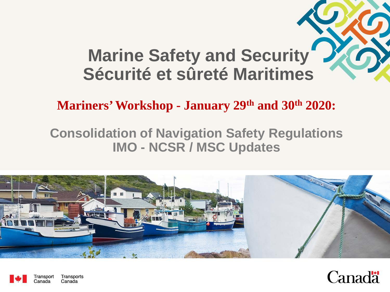#### **Marine Safety and Security Sécurité et sûreté Maritimes**

**Mariners' Workshop - January 29th and 30th 2020:**

#### **Consolidation of Navigation Safety Regulations IMO - NCSR / MSC Updates**





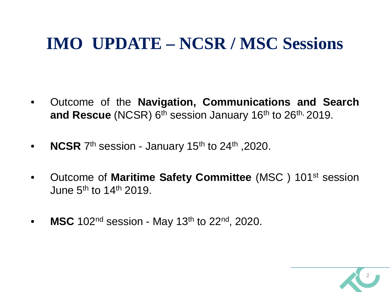#### **IMO UPDATE – NCSR / MSC Sessions**

- Outcome of the **Navigation, Communications and Search** and Rescue (NCSR) 6<sup>th</sup> session January 16<sup>th</sup> to 26<sup>th, 2019.</sup>
- **NCSR** 7<sup>th</sup> session January 15<sup>th</sup> to 24<sup>th</sup>, 2020.
- Outcome of **Maritime Safety Committee** (MSC ) 101st session June  $5<sup>th</sup>$  to 14<sup>th</sup> 2019.
- **MSC** 102<sup>nd</sup> session May 13<sup>th</sup> to 22<sup>nd</sup>, 2020.

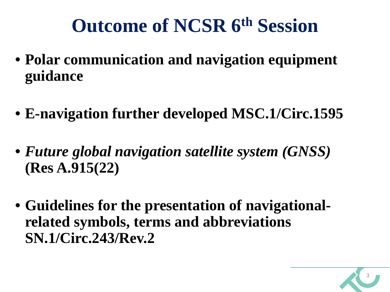- **Polar communication and navigation equipment guidance**
- **E-navigation further developed MSC.1/Circ.1595**
- *Future global navigation satellite system (GNSS)*  **(Res A.915(22)**
- **Guidelines for the presentation of navigationalrelated symbols, terms and abbreviations SN.1/Circ.243/Rev.2**

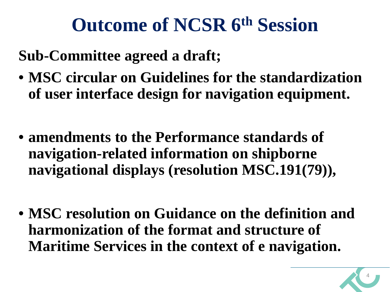#### **Sub-Committee agreed a draft;**

- **MSC circular on Guidelines for the standardization of user interface design for navigation equipment.**
- **amendments to the Performance standards of navigation-related information on shipborne navigational displays (resolution MSC.191(79)),**
- **MSC resolution on Guidance on the definition and harmonization of the format and structure of Maritime Services in the context of e navigation.**

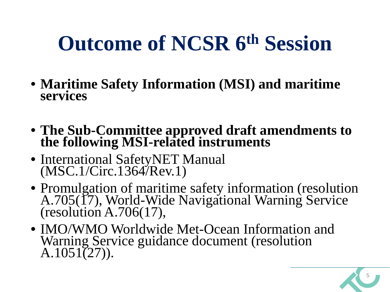- **Maritime Safety Information (MSI) and maritime services**
- **The Sub-Committee approved draft amendments to the following MSI-related instruments**
- International SafetyNET Manual (MSC.1/Circ.1364/Rev.1)
- Promulgation of maritime safety information (resolution A.705(17), World-Wide Navigational Warning Service (resolution A.706(17),
- IMO/WMO Worldwide Met-Ocean Information and Warning Service guidance document (resolution  $A.1051(27)$ .

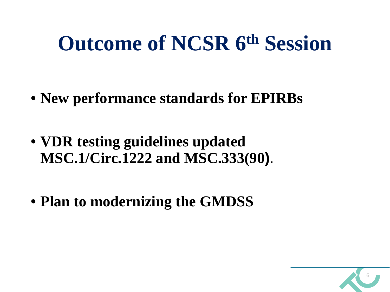- **New performance standards for EPIRBs**
- **VDR testing guidelines updated MSC.1/Circ.1222 and MSC.333(90)**.
- **Plan to modernizing the GMDSS**

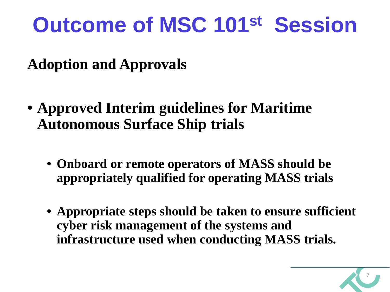**Adoption and Approvals**

- **Approved Interim guidelines for Maritime Autonomous Surface Ship trials**
	- **Onboard or remote operators of MASS should be appropriately qualified for operating MASS trials**
	- **Appropriate steps should be taken to ensure sufficient cyber risk management of the systems and infrastructure used when conducting MASS trials.**

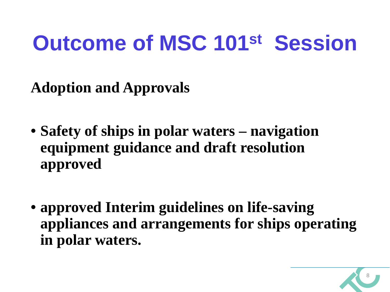**Adoption and Approvals**

- **Safety of ships in polar waters – navigation equipment guidance and draft resolution approved**
- **approved Interim guidelines on life-saving appliances and arrangements for ships operating in polar waters.**

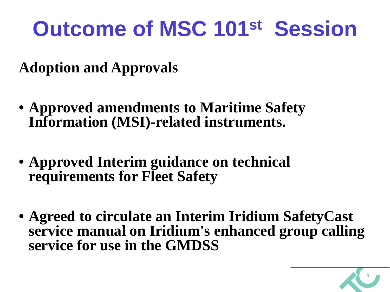**Adoption and Approvals**

- **Approved amendments to Maritime Safety Information (MSI)-related instruments.**
- **Approved Interim guidance on technical requirements for Fleet Safety**
- **Agreed to circulate an Interim Iridium SafetyCast service manual on Iridium's enhanced group calling service for use in the GMDSS**

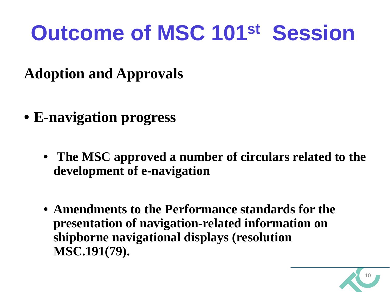- **Adoption and Approvals**
- **E-navigation progress**
	- **The MSC approved a number of circulars related to the development of e-navigation**
	- **Amendments to the Performance standards for the presentation of navigation-related information on shipborne navigational displays (resolution MSC.191(79).**

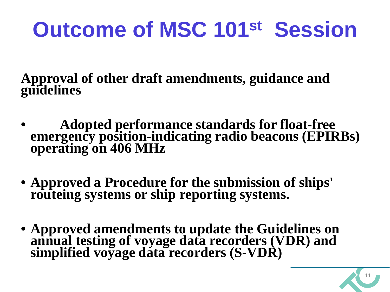**Approval of other draft amendments, guidance and guidelines**

- **Adopted performance standards for float-free emergency position-indicating radio beacons (EPIRBs) operating on 406 MHz**
- **Approved a Procedure for the submission of ships' routeing systems or ship reporting systems.**
- **Approved amendments to update the Guidelines on annual testing of voyage data recorders (VDR) and simplified voyage data recorders (S-VDR)**

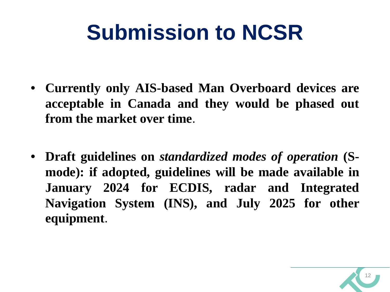## **Submission to NCSR**

- **Currently only AIS-based Man Overboard devices are acceptable in Canada and they would be phased out from the market over time**.
- **Draft guidelines on** *standardized modes of operation* **(Smode): if adopted, guidelines will be made available in January 2024 for ECDIS, radar and Integrated Navigation System (INS), and July 2025 for other equipment**.

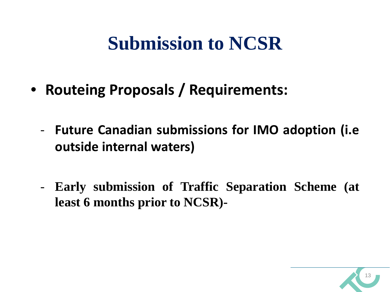#### **Submission to NCSR**

- **Routeing Proposals / Requirements:**
	- **Future Canadian submissions for IMO adoption (i.e outside internal waters)**
	- **Early submission of Traffic Separation Scheme (at least 6 months prior to NCSR)-**

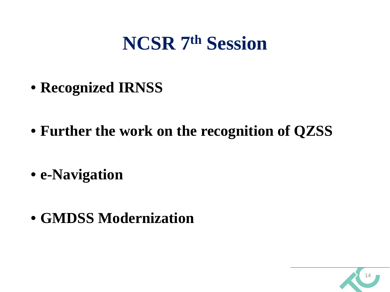#### **NCSR 7th Session**

- **Recognized IRNSS**
- **Further the work on the recognition of QZSS**
- **e-Navigation**
- **GMDSS Modernization**

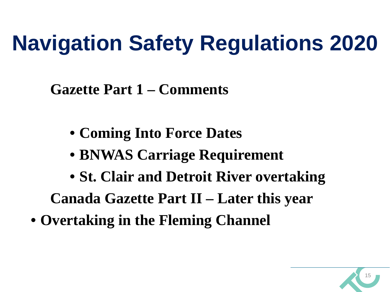# **Navigation Safety Regulations 2020**

**Gazette Part 1 – Comments**

- **Coming Into Force Dates**
- **BNWAS Carriage Requirement**
- **St. Clair and Detroit River overtaking**

15

**Canada Gazette Part II – Later this year** 

• **Overtaking in the Fleming Channel**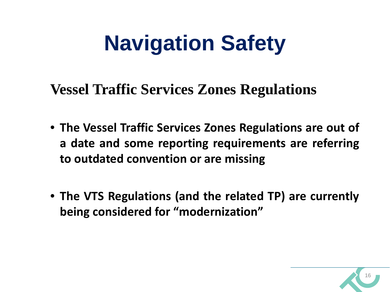## **Navigation Safety**

**Vessel Traffic Services Zones Regulations**

- **The Vessel Traffic Services Zones Regulations are out of a date and some reporting requirements are referring to outdated convention or are missing**
- **The VTS Regulations (and the related TP) are currently being considered for "modernization"**

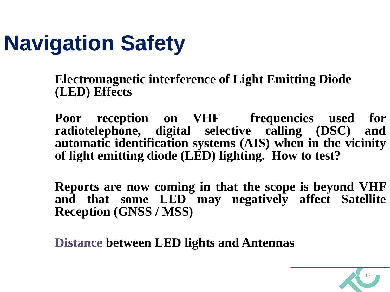## **Navigation Safety**

**Electromagnetic interference of Light Emitting Diode (LED) Effects**

**Poor reception on VHF frequencies used for radiotelephone, digital selective calling (DSC) and automatic identification systems (AIS) when in the vicinity of light emitting diode (LED) lighting. How to test?**

**Reports are now coming in that the scope is beyond VHF and that some LED may negatively affect Satellite Reception (GNSS / MSS)**

**Distance between LED lights and Antennas**

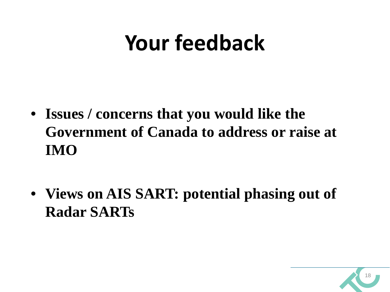### **Your feedback**

- **Issues / concerns that you would like the Government of Canada to address or raise at IMO**
- **Views on AIS SART: potential phasing out of Radar SARTs**